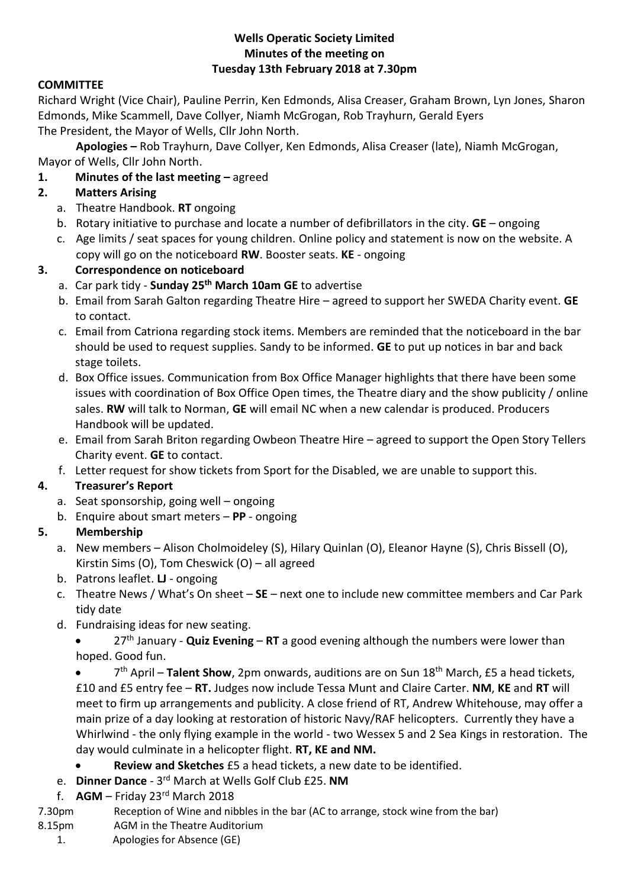### **Wells Operatic Society Limited Minutes of the meeting on Tuesday 13th February 2018 at 7.30pm**

### **COMMITTEE**

Richard Wright (Vice Chair), Pauline Perrin, Ken Edmonds, Alisa Creaser, Graham Brown, Lyn Jones, Sharon Edmonds, Mike Scammell, Dave Collyer, Niamh McGrogan, Rob Trayhurn, Gerald Eyers The President, the Mayor of Wells, Cllr John North.

**Apologies –** Rob Trayhurn, Dave Collyer, Ken Edmonds, Alisa Creaser (late), Niamh McGrogan, Mayor of Wells, Cllr John North.

**1. Minutes of the last meeting –** agreed

### **2. Matters Arising**

- a. Theatre Handbook. **RT** ongoing
- b. Rotary initiative to purchase and locate a number of defibrillators in the city. **GE**  ongoing
- c. Age limits / seat spaces for young children. Online policy and statement is now on the website. A copy will go on the noticeboard **RW**. Booster seats. **KE** - ongoing

### **3. Correspondence on noticeboard**

- a. Car park tidy **Sunday 25th March 10am GE** to advertise
- b. Email from Sarah Galton regarding Theatre Hire agreed to support her SWEDA Charity event. **GE** to contact.
- c. Email from Catriona regarding stock items. Members are reminded that the noticeboard in the bar should be used to request supplies. Sandy to be informed. **GE** to put up notices in bar and back stage toilets.
- d. Box Office issues. Communication from Box Office Manager highlights that there have been some issues with coordination of Box Office Open times, the Theatre diary and the show publicity / online sales. **RW** will talk to Norman, **GE** will email NC when a new calendar is produced. Producers Handbook will be updated.
- e. Email from Sarah Briton regarding Owbeon Theatre Hire agreed to support the Open Story Tellers Charity event. **GE** to contact.
- f. Letter request for show tickets from Sport for the Disabled, we are unable to support this.

## **4. Treasurer's Report**

- a. Seat sponsorship, going well ongoing
- b. Enquire about smart meters **PP** ongoing

## **5. Membership**

- a. New members Alison Cholmoideley (S), Hilary Quinlan (O), Eleanor Hayne (S), Chris Bissell (O), Kirstin Sims (O), Tom Cheswick (O) – all agreed
- b. Patrons leaflet. **LJ** ongoing
- c. Theatre News / What's On sheet **SE** next one to include new committee members and Car Park tidy date
- d. Fundraising ideas for new seating.
	- 27th January **Quiz Evening RT** a good evening although the numbers were lower than hoped. Good fun.

 7 th April – **Talent Show**, 2pm onwards, auditions are on Sun 18th March, £5 a head tickets, £10 and £5 entry fee – **RT.** Judges now include Tessa Munt and Claire Carter. **NM**, **KE** and **RT** will meet to firm up arrangements and publicity. A close friend of RT, Andrew Whitehouse, may offer a main prize of a day looking at restoration of historic Navy/RAF helicopters. Currently they have a Whirlwind - the only flying example in the world - two Wessex 5 and 2 Sea Kings in restoration. The day would culminate in a helicopter flight. **RT, KE and NM.**

- **Review and Sketches** £5 a head tickets, a new date to be identified.
- e. Dinner Dance 3<sup>rd</sup> March at Wells Golf Club £25. NM
- f. **AGM** Friday 23rd March 2018
- 7.30pm Reception of Wine and nibbles in the bar (AC to arrange, stock wine from the bar)
- 8.15pm AGM in the Theatre Auditorium
	- 1. Apologies for Absence (GE)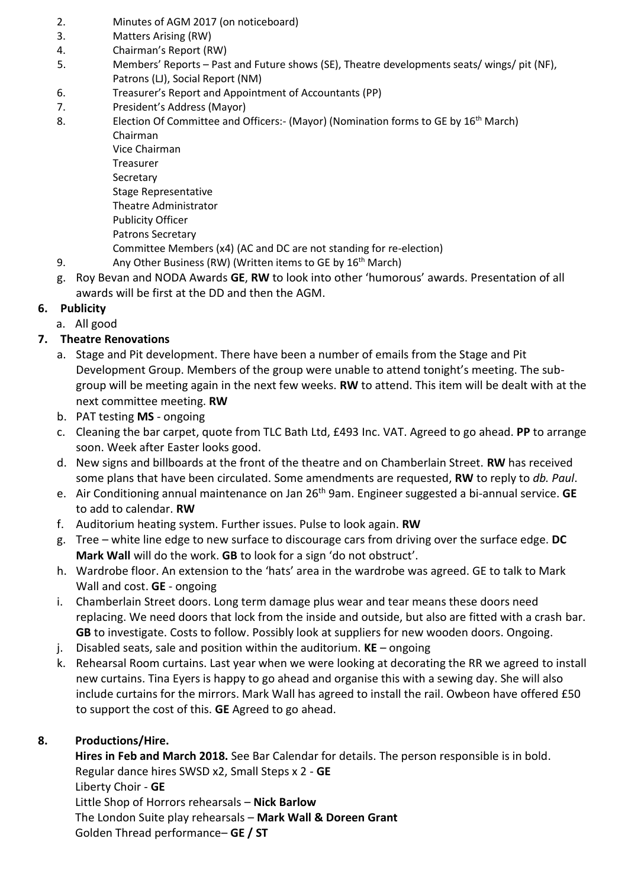- 2. Minutes of AGM 2017 (on noticeboard)
- 3. Matters Arising (RW)
- 4. Chairman's Report (RW)
- 5. Members' Reports Past and Future shows (SE), Theatre developments seats/ wings/ pit (NF), Patrons (LJ), Social Report (NM)
- 6. Treasurer's Report and Appointment of Accountants (PP)
- 7. President's Address (Mayor)
- 8. Election Of Committee and Officers:- (Mayor) (Nomination forms to GE by 16<sup>th</sup> March) Chairman
	- Vice Chairman Treasurer Secretary Stage Representative Theatre Administrator Publicity Officer Patrons Secretary Committee Members (x4) (AC and DC are not standing for re-election)
- 9. Any Other Business (RW) (Written items to GE by 16<sup>th</sup> March)
- g. Roy Bevan and NODA Awards **GE**, **RW** to look into other 'humorous' awards. Presentation of all awards will be first at the DD and then the AGM.

## **6. Publicity**

a. All good

# **7. Theatre Renovations**

- a. Stage and Pit development. There have been a number of emails from the Stage and Pit Development Group. Members of the group were unable to attend tonight's meeting. The subgroup will be meeting again in the next few weeks. **RW** to attend. This item will be dealt with at the next committee meeting. **RW**
- b. PAT testing **MS** ongoing
- c. Cleaning the bar carpet, quote from TLC Bath Ltd, £493 Inc. VAT. Agreed to go ahead. **PP** to arrange soon. Week after Easter looks good.
- d. New signs and billboards at the front of the theatre and on Chamberlain Street. **RW** has received some plans that have been circulated. Some amendments are requested, **RW** to reply to *db. Paul*.
- e. Air Conditioning annual maintenance on Jan 26th 9am. Engineer suggested a bi-annual service. **GE** to add to calendar. **RW**
- f. Auditorium heating system. Further issues. Pulse to look again. **RW**
- g. Tree white line edge to new surface to discourage cars from driving over the surface edge. **DC Mark Wall** will do the work. **GB** to look for a sign 'do not obstruct'.
- h. Wardrobe floor. An extension to the 'hats' area in the wardrobe was agreed. GE to talk to Mark Wall and cost. **GE** - ongoing
- i. Chamberlain Street doors. Long term damage plus wear and tear means these doors need replacing. We need doors that lock from the inside and outside, but also are fitted with a crash bar. **GB** to investigate. Costs to follow. Possibly look at suppliers for new wooden doors. Ongoing.
- j. Disabled seats, sale and position within the auditorium. **KE** ongoing
- k. Rehearsal Room curtains. Last year when we were looking at decorating the RR we agreed to install new curtains. Tina Eyers is happy to go ahead and organise this with a sewing day. She will also include curtains for the mirrors. Mark Wall has agreed to install the rail. Owbeon have offered £50 to support the cost of this. **GE** Agreed to go ahead.

# **8. Productions/Hire.**

**Hires in Feb and March 2018.** See Bar Calendar for details. The person responsible is in bold. Regular dance hires SWSD x2, Small Steps x 2 - **GE** Liberty Choir - **GE** Little Shop of Horrors rehearsals – **Nick Barlow** The London Suite play rehearsals – **Mark Wall & Doreen Grant** Golden Thread performance– **GE / ST**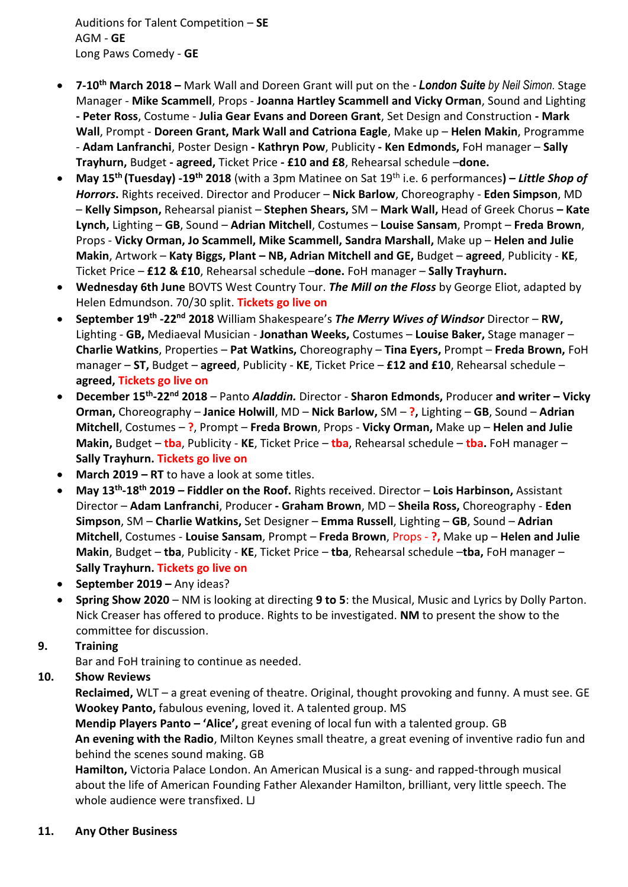Auditions for Talent Competition – **SE** AGM - **GE** Long Paws Comedy - **GE**

- **7-10th March 2018 –** Mark Wall and Doreen Grant will put on the *- London Suite by Neil Simon.* Stage Manager - **Mike Scammell**, Props - **Joanna Hartley Scammell and Vicky Orman**, Sound and Lighting **- Peter Ross**, Costume - **Julia Gear Evans and Doreen Grant**, Set Design and Construction **- Mark Wall**, Prompt - **Doreen Grant, Mark Wall and Catriona Eagle**, Make up – **Helen Makin**, Programme - **Adam Lanfranchi**, Poster Design **- Kathryn Pow**, Publicity **- Ken Edmonds,** FoH manager – **Sally Trayhurn,** Budget **- agreed,** Ticket Price **- £10 and £8**, Rehearsal schedule –**done.**
- **May 15th (Tuesday) -19th 2018** (with a 3pm Matinee on Sat 19th i.e. 6 performances**) –** *Little Shop of Horrors***.** Rights received. Director and Producer – **Nick Barlow**, Choreography - **Eden Simpson**, MD – **Kelly Simpson,** Rehearsal pianist – **Stephen Shears,** SM – **Mark Wall,** Head of Greek Chorus **– Kate Lynch,** Lighting – **GB**, Sound – **Adrian Mitchell**, Costumes – **Louise Sansam**, Prompt – **Freda Brown**, Props - **Vicky Orman, Jo Scammell, Mike Scammell, Sandra Marshall,** Make up – **Helen and Julie Makin**, Artwork – **Katy Biggs, Plant – NB, Adrian Mitchell and GE,** Budget – **agreed**, Publicity - **KE**, Ticket Price – **£12 & £10**, Rehearsal schedule –**done.** FoH manager – **Sally Trayhurn.**
- **Wednesday 6th June** BOVTS West Country Tour. *The Mill on the Floss* by George Eliot, adapted by Helen Edmundson. 70/30 split. **Tickets go live on**
- **September 19th -22nd 2018** William Shakespeare's *The Merry Wives of Windsor* Director **RW,**  Lighting - **GB,** Mediaeval Musician - **Jonathan Weeks,** Costumes – **Louise Baker,** Stage manager – **Charlie Watkins**, Properties – **Pat Watkins,** Choreography – **Tina Eyers,** Prompt – **Freda Brown,** FoH manager – **ST,** Budget – **agreed**, Publicity - **KE**, Ticket Price – **£12 and £10**, Rehearsal schedule – **agreed, Tickets go live on**
- **December 15th -22nd 2018** *–* Panto *Aladdin.* Director **Sharon Edmonds,** Producer **and writer – Vicky Orman,** Choreography – **Janice Holwill**, MD – **Nick Barlow,** SM – **?,** Lighting – **GB**, Sound – **Adrian Mitchell**, Costumes – **?**, Prompt – **Freda Brown**, Props - **Vicky Orman,** Make up – **Helen and Julie Makin,** Budget – **tba**, Publicity - **KE**, Ticket Price – **tba**, Rehearsal schedule – **tba.** FoH manager – **Sally Trayhurn. Tickets go live on**
- **March 2019 – RT** to have a look at some titles.
- **May 13th -18th 2019 – Fiddler on the Roof.** Rights received. Director **Lois Harbinson,** Assistant Director – **Adam Lanfranchi**, Producer **- Graham Brown**, MD – **Sheila Ross,** Choreography - **Eden Simpson**, SM – **Charlie Watkins,** Set Designer – **Emma Russell**, Lighting – **GB**, Sound – **Adrian Mitchell**, Costumes - **Louise Sansam**, Prompt – **Freda Brown**, Props - **?,** Make up – **Helen and Julie Makin**, Budget – **tba**, Publicity - **KE**, Ticket Price – **tba**, Rehearsal schedule –**tba,** FoH manager – **Sally Trayhurn. Tickets go live on**
- **•** September 2019 Any ideas?
- **Spring Show 2020**  NM is looking at directing **9 to 5**: the Musical, Music and Lyrics by Dolly Parton. Nick Creaser has offered to produce. Rights to be investigated. **NM** to present the show to the committee for discussion.

#### **9. Training**

Bar and FoH training to continue as needed.

#### **10. Show Reviews**

**Reclaimed,** WLT – a great evening of theatre. Original, thought provoking and funny. A must see. GE **Wookey Panto,** fabulous evening, loved it. A talented group. MS

**Mendip Players Panto – 'Alice',** great evening of local fun with a talented group. GB **An evening with the Radio**, Milton Keynes small theatre, a great evening of inventive radio fun and behind the scenes sound making. GB

**Hamilton,** Victoria Palace London. An American Musical is a sung- and rapped-through musical about the life of American Founding Father Alexander Hamilton, brilliant, very little speech. The whole audience were transfixed. LJ

#### **11. Any Other Business**